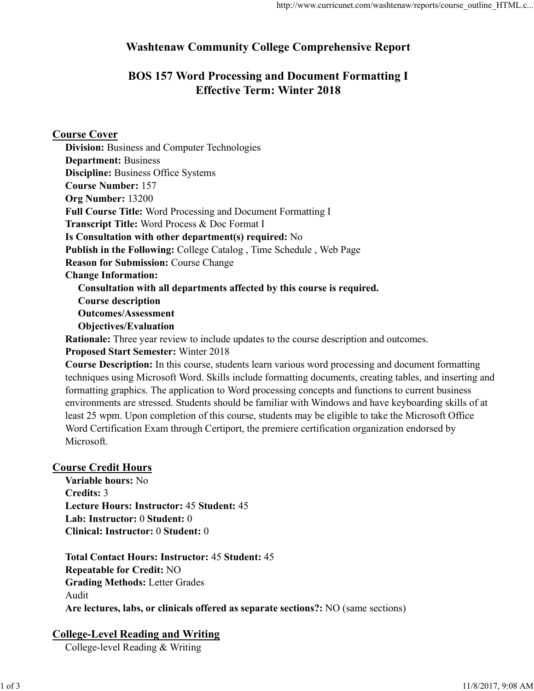# Washtenaw Community College Comprehensive Report

# BOS 157 Word Processing and Document Formatting I Effective Term: Winter 2018

Course Cover

Division: Business and Computer Technologies Department: Business Discipline: Business Office Systems Course Number: 157 Org Number: 13200 Full Course Title: Word Processing and Document Formatting I Transcript Title: Word Process & Doc Format I Is Consultation with other department(s) required: No Publish in the Following: College Catalog , Time Schedule , Web Page Reason for Submission: Course Change Change Information: Consultation with all departments affected by this course is required. Course description Outcomes/Assessment Objectives/Evaluation

Rationale: Three year review to include updates to the course description and outcomes.

Proposed Start Semester: Winter 2018

Course Description: In this course, students learn various word processing and document formatting techniques using Microsoft Word. Skills include formatting documents, creating tables, and inserting and formatting graphics. The application to Word processing concepts and functions to current business environments are stressed. Students should be familiar with Windows and have keyboarding skills of at least 25 wpm. Upon completion of this course, students may be eligible to take the Microsoft Office Word Certification Exam through Certiport, the premiere certification organization endorsed by Microsoft.

## Course Credit Hours

Variable hours: No Credits: 3 Lecture Hours: Instructor: 45 Student: 45 Lab: Instructor: 0 Student: 0 Clinical: Instructor: 0 Student: 0

Total Contact Hours: Instructor: 45 Student: 45 Repeatable for Credit: NO Grading Methods: Letter Grades Audit Are lectures, labs, or clinicals offered as separate sections?: NO (same sections) **Course Credit Hours**<br>
Variable hours: No<br>
Credits: 3<br>
Lecture Hours: Instructor: 45 Student: 45<br>
Lab: Instructor: 0 Student: 0<br>
Clinical: Instructor: 0 Student: 0<br>
Total Contact Hours: Instructor: 45 Student: 45<br>
Repeatab

# College-Level Reading and Writing

College-level Reading & Writing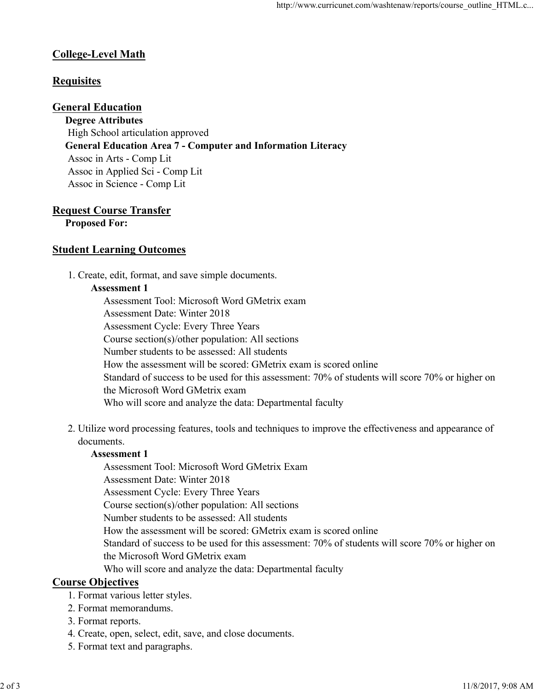## College-Level Math

### **Requisites**

#### General Education

Degree Attributes High School articulation approved General Education Area 7 - Computer and Information Literacy Assoc in Arts - Comp Lit Assoc in Applied Sci - Comp Lit Assoc in Science - Comp Lit

# Request Course Transfer

Proposed For:

## Student Learning Outcomes

1. Create, edit, format, and save simple documents.

#### Assessment 1

Assessment Tool: Microsoft Word GMetrix exam Assessment Date: Winter 2018 Assessment Cycle: Every Three Years Course section(s)/other population: All sections Number students to be assessed: All students How the assessment will be scored: GMetrix exam is scored online Standard of success to be used for this assessment: 70% of students will score 70% or higher on the Microsoft Word GMetrix exam Who will score and analyze the data: Departmental faculty

2. Utilize word processing features, tools and techniques to improve the effectiveness and appearance of documents.

#### Assessment 1

Assessment Tool: Microsoft Word GMetrix Exam

Assessment Date: Winter 2018

Assessment Cycle: Every Three Years

Course section(s)/other population: All sections

Number students to be assessed: All students

How the assessment will be scored: GMetrix exam is scored online

Standard of success to be used for this assessment: 70% of students will score 70% or higher on the Microsoft Word GMetrix exam Assessment Tool: Microsoft Word GMetrix Exam<br>
Assessment Cycle: Every Three Years<br>
Assessment Cycle: Every Three Years<br>
Course section(s)/other population: All sections<br>
Number students<br>
How the assessment will be corect:

Who will score and analyze the data: Departmental faculty

#### Course Objectives

- 1. Format various letter styles.
- 2. Format memorandums.
- 3. Format reports.
- 4. Create, open, select, edit, save, and close documents.
- 5. Format text and paragraphs.